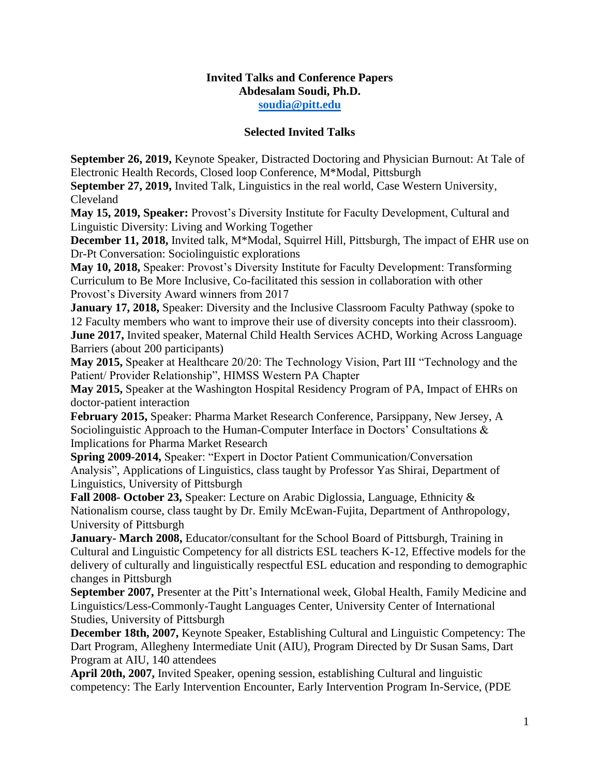## **Invited Talks and Conference Papers Abdesalam Soudi, Ph.D. [soudia@pitt.edu](mailto:soudia@pitt.edu)**

## **Selected Invited Talks**

**September 26, 2019,** Keynote Speaker, Distracted Doctoring and Physician Burnout: At Tale of Electronic Health Records, Closed loop Conference, M\*Modal, Pittsburgh

**September 27, 2019,** Invited Talk, Linguistics in the real world, Case Western University, Cleveland

**May 15, 2019, Speaker:** Provost's Diversity Institute for Faculty Development, Cultural and Linguistic Diversity: Living and Working Together

**December 11, 2018,** Invited talk, M\*Modal, Squirrel Hill, Pittsburgh, The impact of EHR use on Dr-Pt Conversation: Sociolinguistic explorations

**May 10, 2018,** Speaker: Provost's Diversity Institute for Faculty Development: Transforming Curriculum to Be More Inclusive, Co-facilitated this session in collaboration with other Provost's Diversity Award winners from 2017

**January 17, 2018,** Speaker: Diversity and the Inclusive Classroom Faculty Pathway (spoke to 12 Faculty members who want to improve their use of diversity concepts into their classroom). **June 2017,** Invited speaker, Maternal Child Health Services ACHD, Working Across Language Barriers (about 200 participants)

**May 2015,** Speaker at Healthcare 20/20: The Technology Vision, Part III "Technology and the Patient/ Provider Relationship", HIMSS Western PA Chapter

**May 2015,** Speaker at the Washington Hospital Residency Program of PA, Impact of EHRs on doctor-patient interaction

**February 2015,** Speaker: Pharma Market Research Conference, Parsippany, New Jersey, A Sociolinguistic Approach to the Human-Computer Interface in Doctors' Consultations & Implications for Pharma Market Research

**Spring 2009-2014,** Speaker: "Expert in Doctor Patient Communication/Conversation Analysis", Applications of Linguistics, class taught by Professor Yas Shirai, Department of Linguistics, University of Pittsburgh

**Fall 2008- October 23,** Speaker: Lecture on Arabic Diglossia, Language, Ethnicity & Nationalism course, class taught by Dr. Emily McEwan-Fujita, Department of Anthropology, University of Pittsburgh

**January- March 2008,** Educator/consultant for the School Board of Pittsburgh, Training in Cultural and Linguistic Competency for all districts ESL teachers K-12, Effective models for the delivery of culturally and linguistically respectful ESL education and responding to demographic changes in Pittsburgh

**September 2007,** Presenter at the Pitt's International week, Global Health, Family Medicine and Linguistics/Less-Commonly-Taught Languages Center, University Center of International Studies, University of Pittsburgh

**December 18th, 2007,** Keynote Speaker, Establishing Cultural and Linguistic Competency: The Dart Program, Allegheny Intermediate Unit (AIU), Program Directed by Dr Susan Sams, Dart Program at AIU, 140 attendees

**April 20th, 2007,** Invited Speaker, opening session, establishing Cultural and linguistic competency: The Early Intervention Encounter, Early Intervention Program In-Service, (PDE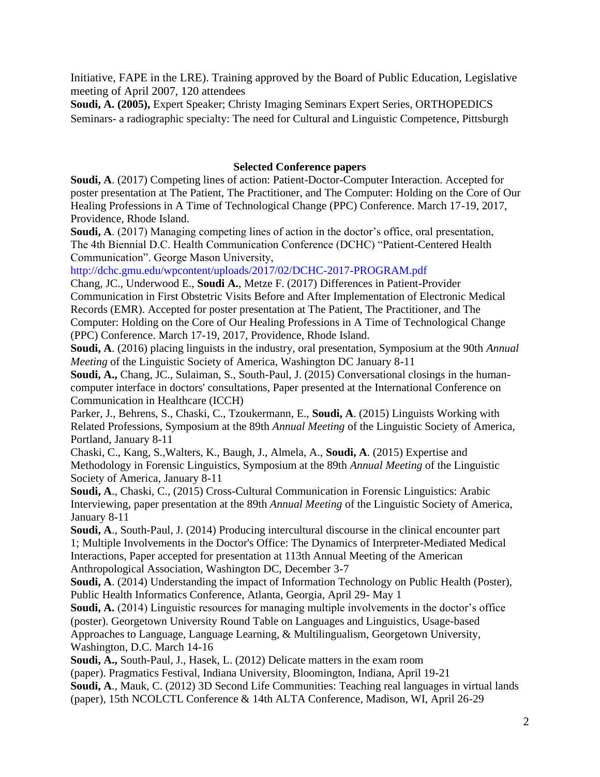Initiative, FAPE in the LRE). Training approved by the Board of Public Education, Legislative meeting of April 2007, 120 attendees

**Soudi, A. (2005),** Expert Speaker; Christy Imaging Seminars Expert Series, ORTHOPEDICS Seminars- a radiographic specialty: The need for Cultural and Linguistic Competence, Pittsburgh

## **Selected Conference papers**

**Soudi, A**. (2017) Competing lines of action: Patient-Doctor-Computer Interaction. Accepted for poster presentation at The Patient, The Practitioner, and The Computer: Holding on the Core of Our Healing Professions in A Time of Technological Change (PPC) Conference. March 17-19, 2017, Providence, Rhode Island.

**Soudi, A**. (2017) Managing competing lines of action in the doctor's office, oral presentation, The 4th Biennial D.C. Health Communication Conference (DCHC) "Patient-Centered Health Communication". George Mason University,

http://dchc.gmu.edu/wpcontent/uploads/2017/02/DCHC-2017-PROGRAM.pdf

Chang, JC., Underwood E., **Soudi A.**, Metze F. (2017) Differences in Patient-Provider Communication in First Obstetric Visits Before and After Implementation of Electronic Medical Records (EMR). Accepted for poster presentation at The Patient, The Practitioner, and The Computer: Holding on the Core of Our Healing Professions in A Time of Technological Change (PPC) Conference. March 17-19, 2017, Providence, Rhode Island.

**Soudi, A**. (2016) placing linguists in the industry, oral presentation, Symposium at the 90th *Annual Meeting* of the Linguistic Society of America, Washington DC January 8-11

**Soudi, A.,** Chang, JC., Sulaiman, S., South-Paul, J. (2015) Conversational closings in the humancomputer interface in doctors' consultations, Paper presented at the International Conference on Communication in Healthcare (ICCH)

Parker, J., Behrens, S., Chaski, C., Tzoukermann, E., **Soudi, A**. (2015) Linguists Working with Related Professions, Symposium at the 89th *Annual Meeting* of the Linguistic Society of America, Portland, January 8-11

Chaski, C., Kang, S.,Walters, K., Baugh, J., Almela, A., **Soudi, A**. (2015) Expertise and Methodology in Forensic Linguistics, Symposium at the 89th *Annual Meeting* of the Linguistic Society of America, January 8-11

**Soudi, A**., Chaski, C., (2015) Cross-Cultural Communication in Forensic Linguistics: Arabic Interviewing, paper presentation at the 89th *Annual Meeting* of the Linguistic Society of America, January 8-11

**Soudi, A**., South-Paul, J. (2014) Producing intercultural discourse in the clinical encounter part 1; Multiple Involvements in the Doctor's Office: The Dynamics of Interpreter-Mediated Medical Interactions, Paper accepted for presentation at 113th Annual Meeting of the American Anthropological Association, Washington DC, December 3-7

**Soudi, A**. (2014) Understanding the impact of Information Technology on Public Health (Poster), Public Health Informatics Conference, Atlanta, Georgia, April 29- May 1

**Soudi, A.** (2014) Linguistic resources for managing multiple involvements in the doctor's office (poster). Georgetown University Round Table on Languages and Linguistics, Usage-based Approaches to Language, Language Learning, & Multilingualism, Georgetown University, Washington, D.C. March 14-16

**Soudi, A.,** South-Paul, J., Hasek, L. (2012) Delicate matters in the exam room

(paper). Pragmatics Festival, Indiana University, Bloomington, Indiana, April 19-21

**Soudi, A**., Mauk, C. (2012) 3D Second Life Communities: Teaching real languages in virtual lands (paper), 15th NCOLCTL Conference & 14th ALTA Conference, Madison, WI, April 26-29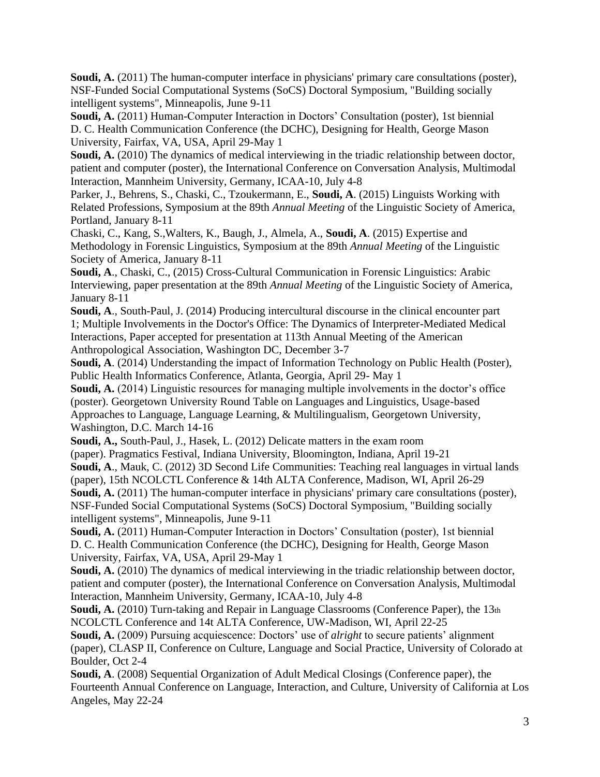**Soudi, A.** (2011) The human-computer interface in physicians' primary care consultations (poster), NSF-Funded Social Computational Systems (SoCS) Doctoral Symposium, "Building socially intelligent systems", Minneapolis, June 9-11

Soudi, A. (2011) Human-Computer Interaction in Doctors' Consultation (poster), 1st biennial D. C. Health Communication Conference (the DCHC), Designing for Health, George Mason University, Fairfax, VA, USA, April 29-May 1

Soudi, A. (2010) The dynamics of medical interviewing in the triadic relationship between doctor, patient and computer (poster), the International Conference on Conversation Analysis, Multimodal Interaction, Mannheim University, Germany, ICAA-10, July 4-8

Parker, J., Behrens, S., Chaski, C., Tzoukermann, E., **Soudi, A**. (2015) Linguists Working with Related Professions, Symposium at the 89th *Annual Meeting* of the Linguistic Society of America, Portland, January 8-11

Chaski, C., Kang, S.,Walters, K., Baugh, J., Almela, A., **Soudi, A**. (2015) Expertise and Methodology in Forensic Linguistics, Symposium at the 89th *Annual Meeting* of the Linguistic Society of America, January 8-11

**Soudi, A**., Chaski, C., (2015) Cross-Cultural Communication in Forensic Linguistics: Arabic Interviewing, paper presentation at the 89th *Annual Meeting* of the Linguistic Society of America, January 8-11

**Soudi, A**., South-Paul, J. (2014) Producing intercultural discourse in the clinical encounter part 1; Multiple Involvements in the Doctor's Office: The Dynamics of Interpreter-Mediated Medical Interactions, Paper accepted for presentation at 113th Annual Meeting of the American Anthropological Association, Washington DC, December 3-7

**Soudi, A**. (2014) Understanding the impact of Information Technology on Public Health (Poster), Public Health Informatics Conference, Atlanta, Georgia, April 29- May 1

**Soudi, A.** (2014) Linguistic resources for managing multiple involvements in the doctor's office (poster). Georgetown University Round Table on Languages and Linguistics, Usage-based Approaches to Language, Language Learning, & Multilingualism, Georgetown University, Washington, D.C. March 14-16

**Soudi, A.,** South-Paul, J., Hasek, L. (2012) Delicate matters in the exam room

(paper). Pragmatics Festival, Indiana University, Bloomington, Indiana, April 19-21 **Soudi, A**., Mauk, C. (2012) 3D Second Life Communities: Teaching real languages in virtual lands

(paper), 15th NCOLCTL Conference & 14th ALTA Conference, Madison, WI, April 26-29 **Soudi, A.** (2011) The human-computer interface in physicians' primary care consultations (poster),

NSF-Funded Social Computational Systems (SoCS) Doctoral Symposium, "Building socially intelligent systems", Minneapolis, June 9-11

**Soudi, A.** (2011) Human-Computer Interaction in Doctors' Consultation (poster), 1st biennial D. C. Health Communication Conference (the DCHC), Designing for Health, George Mason University, Fairfax, VA, USA, April 29-May 1

**Soudi, A.** (2010) The dynamics of medical interviewing in the triadic relationship between doctor, patient and computer (poster), the International Conference on Conversation Analysis, Multimodal Interaction, Mannheim University, Germany, ICAA-10, July 4-8

Soudi, A. (2010) Turn-taking and Repair in Language Classrooms (Conference Paper), the 13th NCOLCTL Conference and 14t ALTA Conference, UW-Madison, WI, April 22-25

**Soudi, A.** (2009) Pursuing acquiescence: Doctors' use of *alright* to secure patients' alignment (paper), CLASP II, Conference on Culture, Language and Social Practice, University of Colorado at Boulder, Oct 2-4

**Soudi, A**. (2008) Sequential Organization of Adult Medical Closings (Conference paper), the Fourteenth Annual Conference on Language, Interaction, and Culture, University of California at Los Angeles, May 22-24